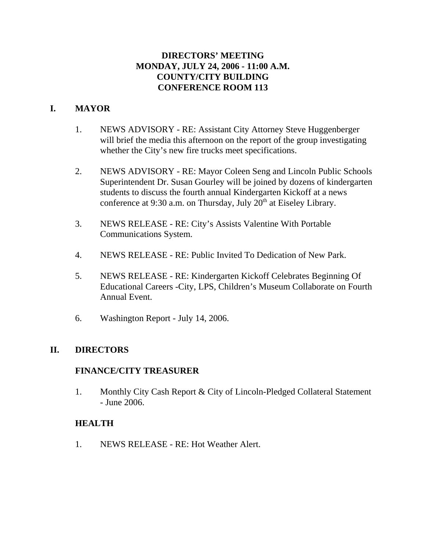# **DIRECTORS' MEETING MONDAY, JULY 24, 2006 - 11:00 A.M. COUNTY/CITY BUILDING CONFERENCE ROOM 113**

# **I. MAYOR**

- 1. NEWS ADVISORY RE: Assistant City Attorney Steve Huggenberger will brief the media this afternoon on the report of the group investigating whether the City's new fire trucks meet specifications.
- 2. NEWS ADVISORY RE: Mayor Coleen Seng and Lincoln Public Schools Superintendent Dr. Susan Gourley will be joined by dozens of kindergarten students to discuss the fourth annual Kindergarten Kickoff at a news conference at 9:30 a.m. on Thursday, July  $20<sup>th</sup>$  at Eiseley Library.
- 3. NEWS RELEASE RE: City's Assists Valentine With Portable Communications System.
- 4. NEWS RELEASE RE: Public Invited To Dedication of New Park.
- 5. NEWS RELEASE RE: Kindergarten Kickoff Celebrates Beginning Of Educational Careers -City, LPS, Children's Museum Collaborate on Fourth Annual Event.
- 6. Washington Report July 14, 2006.

# **II. DIRECTORS**

# **FINANCE/CITY TREASURER**

1. Monthly City Cash Report & City of Lincoln-Pledged Collateral Statement - June 2006.

# **HEALTH**

1. NEWS RELEASE - RE: Hot Weather Alert.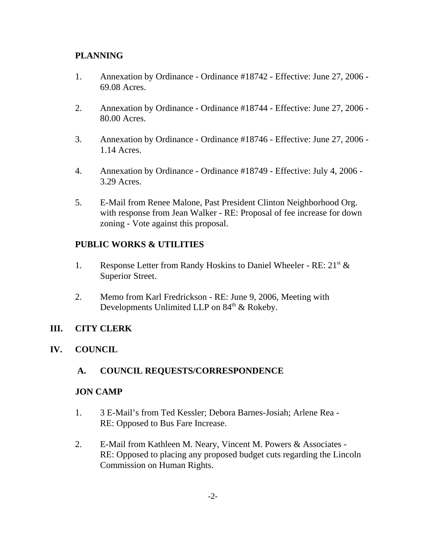# **PLANNING**

- 1. Annexation by Ordinance Ordinance #18742 Effective: June 27, 2006 69.08 Acres.
- 2. Annexation by Ordinance Ordinance #18744 Effective: June 27, 2006 80.00 Acres.
- 3. Annexation by Ordinance Ordinance #18746 Effective: June 27, 2006 1.14 Acres.
- 4. Annexation by Ordinance Ordinance #18749 Effective: July 4, 2006 3.29 Acres.
- 5. E-Mail from Renee Malone, Past President Clinton Neighborhood Org. with response from Jean Walker - RE: Proposal of fee increase for down zoning - Vote against this proposal.

# **PUBLIC WORKS & UTILITIES**

- 1. Response Letter from Randy Hoskins to Daniel Wheeler RE:  $21<sup>st</sup>$  & Superior Street.
- 2. Memo from Karl Fredrickson RE: June 9, 2006, Meeting with Developments Unlimited LLP on 84<sup>th</sup> & Rokeby.

# **III. CITY CLERK**

**IV. COUNCIL**

# **A. COUNCIL REQUESTS/CORRESPONDENCE**

# **JON CAMP**

- 1. 3 E-Mail's from Ted Kessler; Debora Barnes-Josiah; Arlene Rea RE: Opposed to Bus Fare Increase.
- 2. E-Mail from Kathleen M. Neary, Vincent M. Powers & Associates RE: Opposed to placing any proposed budget cuts regarding the Lincoln Commission on Human Rights.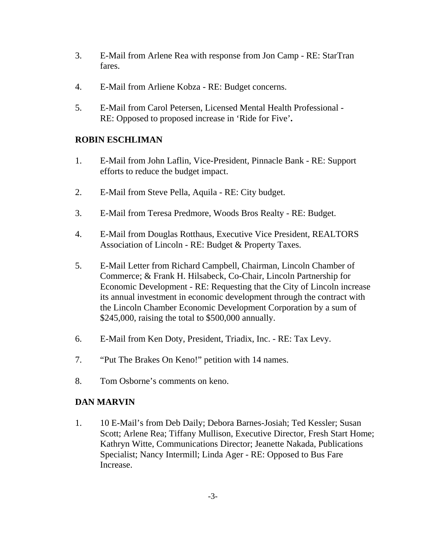- 3. E-Mail from Arlene Rea with response from Jon Camp RE: StarTran fares.
- 4. E-Mail from Arliene Kobza RE: Budget concerns.
- 5. E-Mail from Carol Petersen, Licensed Mental Health Professional RE: Opposed to proposed increase in 'Ride for Five'**.**

# **ROBIN ESCHLIMAN**

- 1. E-Mail from John Laflin, Vice-President, Pinnacle Bank RE: Support efforts to reduce the budget impact.
- 2. E-Mail from Steve Pella, Aquila RE: City budget.
- 3. E-Mail from Teresa Predmore, Woods Bros Realty RE: Budget.
- 4. E-Mail from Douglas Rotthaus, Executive Vice President, REALTORS Association of Lincoln - RE: Budget & Property Taxes.
- 5. E-Mail Letter from Richard Campbell, Chairman, Lincoln Chamber of Commerce; & Frank H. Hilsabeck, Co-Chair, Lincoln Partnership for Economic Development - RE: Requesting that the City of Lincoln increase its annual investment in economic development through the contract with the Lincoln Chamber Economic Development Corporation by a sum of \$245,000, raising the total to \$500,000 annually.
- 6. E-Mail from Ken Doty, President, Triadix, Inc. RE: Tax Levy.
- 7. "Put The Brakes On Keno!" petition with 14 names.
- 8. Tom Osborne's comments on keno.

# **DAN MARVIN**

1. 10 E-Mail's from Deb Daily; Debora Barnes-Josiah; Ted Kessler; Susan Scott; Arlene Rea; Tiffany Mullison, Executive Director, Fresh Start Home; Kathryn Witte, Communications Director; Jeanette Nakada, Publications Specialist; Nancy Intermill; Linda Ager - RE: Opposed to Bus Fare Increase.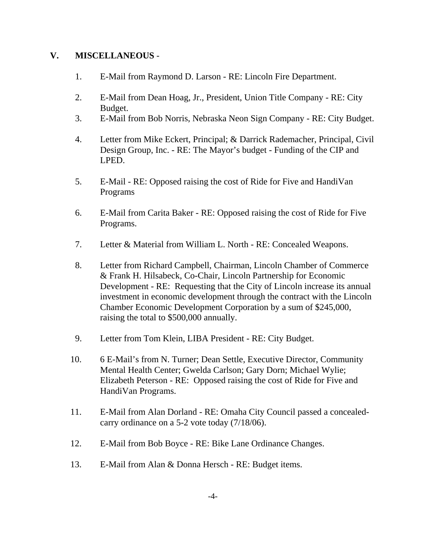# **V. MISCELLANEOUS** -

- 1. E-Mail from Raymond D. Larson RE: Lincoln Fire Department.
- 2. E-Mail from Dean Hoag, Jr., President, Union Title Company RE: City Budget.
- 3. E-Mail from Bob Norris, Nebraska Neon Sign Company RE: City Budget.
- 4. Letter from Mike Eckert, Principal; & Darrick Rademacher, Principal, Civil Design Group, Inc. - RE: The Mayor's budget - Funding of the CIP and LPED.
- 5. E-Mail RE: Opposed raising the cost of Ride for Five and HandiVan Programs
- 6. E-Mail from Carita Baker RE: Opposed raising the cost of Ride for Five Programs.
- 7. Letter & Material from William L. North RE: Concealed Weapons.
- 8. Letter from Richard Campbell, Chairman, Lincoln Chamber of Commerce & Frank H. Hilsabeck, Co-Chair, Lincoln Partnership for Economic Development - RE: Requesting that the City of Lincoln increase its annual investment in economic development through the contract with the Lincoln Chamber Economic Development Corporation by a sum of \$245,000, raising the total to \$500,000 annually.
- 9. Letter from Tom Klein, LIBA President RE: City Budget.
- 10. 6 E-Mail's from N. Turner; Dean Settle, Executive Director, Community Mental Health Center; Gwelda Carlson; Gary Dorn; Michael Wylie; Elizabeth Peterson - RE: Opposed raising the cost of Ride for Five and HandiVan Programs.
- 11. E-Mail from Alan Dorland RE: Omaha City Council passed a concealedcarry ordinance on a 5-2 vote today (7/18/06).
- 12. E-Mail from Bob Boyce RE: Bike Lane Ordinance Changes.
- 13. E-Mail from Alan & Donna Hersch RE: Budget items.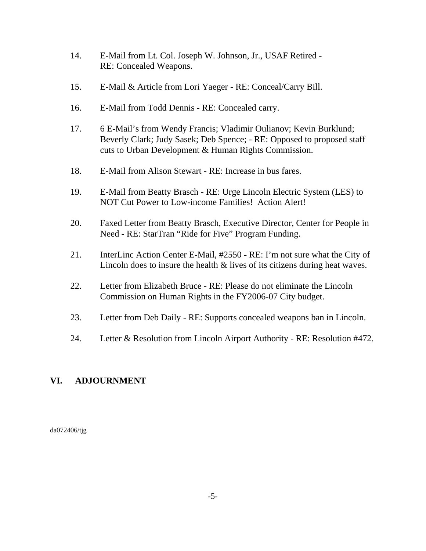- 14. E-Mail from Lt. Col. Joseph W. Johnson, Jr., USAF Retired RE: Concealed Weapons.
- 15. E-Mail & Article from Lori Yaeger RE: Conceal/Carry Bill.
- 16. E-Mail from Todd Dennis RE: Concealed carry.
- 17. 6 E-Mail's from Wendy Francis; Vladimir Oulianov; Kevin Burklund; Beverly Clark; Judy Sasek; Deb Spence; - RE: Opposed to proposed staff cuts to Urban Development & Human Rights Commission.
- 18. E-Mail from Alison Stewart RE: Increase in bus fares.
- 19. E-Mail from Beatty Brasch RE: Urge Lincoln Electric System (LES) to NOT Cut Power to Low-income Families! Action Alert!
- 20. Faxed Letter from Beatty Brasch, Executive Director, Center for People in Need - RE: StarTran "Ride for Five" Program Funding.
- 21. InterLinc Action Center E-Mail, #2550 RE: I'm not sure what the City of Lincoln does to insure the health & lives of its citizens during heat waves.
- 22. Letter from Elizabeth Bruce RE: Please do not eliminate the Lincoln Commission on Human Rights in the FY2006-07 City budget.
- 23. Letter from Deb Daily RE: Supports concealed weapons ban in Lincoln.
- 24. Letter & Resolution from Lincoln Airport Authority RE: Resolution #472.

# **VI. ADJOURNMENT**

da072406/tjg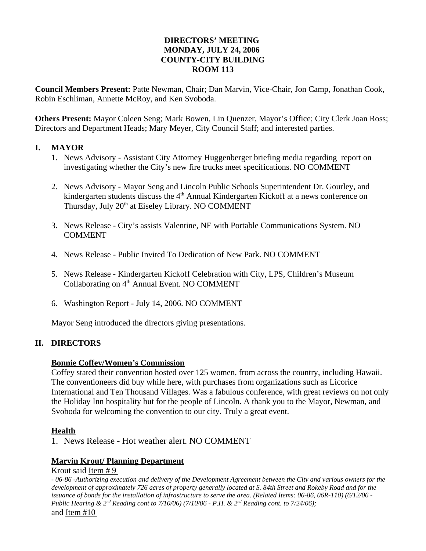## **DIRECTORS' MEETING MONDAY, JULY 24, 2006 COUNTY-CITY BUILDING ROOM 113**

**Council Members Present:** Patte Newman, Chair; Dan Marvin, Vice-Chair, Jon Camp, Jonathan Cook, Robin Eschliman, Annette McRoy, and Ken Svoboda.

**Others Present:** Mayor Coleen Seng; Mark Bowen, Lin Quenzer, Mayor's Office; City Clerk Joan Ross; Directors and Department Heads; Mary Meyer, City Council Staff; and interested parties.

### **I. MAYOR**

- 1. News Advisory Assistant City Attorney Huggenberger briefing media regarding report on investigating whether the City's new fire trucks meet specifications. NO COMMENT
- 2. News Advisory Mayor Seng and Lincoln Public Schools Superintendent Dr. Gourley, and kindergarten students discuss the 4<sup>th</sup> Annual Kindergarten Kickoff at a news conference on Thursday, July 20<sup>th</sup> at Eiseley Library. NO COMMENT
- 3. News Release City's assists Valentine, NE with Portable Communications System. NO **COMMENT**
- 4. News Release Public Invited To Dedication of New Park. NO COMMENT
- 5. News Release Kindergarten Kickoff Celebration with City, LPS, Children's Museum Collaborating on 4<sup>th</sup> Annual Event. NO COMMENT
- 6. Washington Report July 14, 2006. NO COMMENT

Mayor Seng introduced the directors giving presentations.

## **II. DIRECTORS**

#### **Bonnie Coffey/Women's Commission**

Coffey stated their convention hosted over 125 women, from across the country, including Hawaii. The conventioneers did buy while here, with purchases from organizations such as Licorice International and Ten Thousand Villages. Was a fabulous conference, with great reviews on not only the Holiday Inn hospitality but for the people of Lincoln. A thank you to the Mayor, Newman, and Svoboda for welcoming the convention to our city. Truly a great event.

#### **Health**

1. News Release - Hot weather alert. NO COMMENT

## **Marvin Krout/ Planning Department**

Krout said Item # 9

- *06-86 -Authorizing execution and delivery of the Development Agreement between the City and various owners for the development of approximately 726 acres of property generally located at S. 84th Street and Rokeby Road and for the issuance of bonds for the installation of infrastructure to serve the area. (Related Items: 06-86, 06R-110) (6/12/06 - Public Hearing & 2<sup>nd</sup> Reading cont to 7/10/06) (7/10/06 - P.H. & 2<sup>nd</sup> Reading cont. to 7/24/06);* and Item #10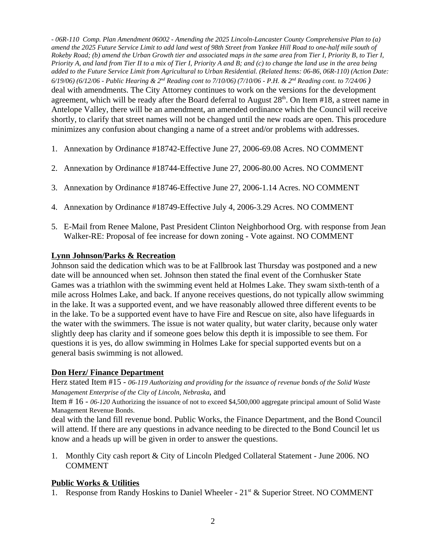*- 06R-110 Comp. Plan Amendment 06002 - Amending the 2025 Lincoln-Lancaster County Comprehensive Plan to (a) amend the 2025 Future Service Limit to add land west of 98th Street from Yankee Hill Road to one-half mile south of Rokeby Road; (b) amend the Urban Growth tier and associated maps in the same area from Tier I, Priority B, to Tier I, Priority A, and land from Tier II to a mix of Tier I, Priority A and B; and (c) to change the land use in the area being added to the Future Service Limit from Agricultural to Urban Residential. (Related Items: 06-86, 06R-110) (Action Date: 6/19/06) (6/12/06 - Public Hearing & 2nd Reading cont to 7/10/06) (7/10/06 - P.H. & 2nd Reading cont. to 7/24/06 )* deal with amendments. The City Attorney continues to work on the versions for the development agreement, which will be ready after the Board deferral to August 28<sup>th</sup>. On Item #18, a street name in Antelope Valley, there will be an amendment, an amended ordinance which the Council will receive shortly, to clarify that street names will not be changed until the new roads are open. This procedure minimizes any confusion about changing a name of a street and/or problems with addresses.

- 1. Annexation by Ordinance #18742-Effective June 27, 2006-69.08 Acres. NO COMMENT
- 2. Annexation by Ordinance #18744-Effective June 27, 2006-80.00 Acres. NO COMMENT
- 3. Annexation by Ordinance #18746-Effective June 27, 2006-1.14 Acres. NO COMMENT
- 4. Annexation by Ordinance #18749-Effective July 4, 2006-3.29 Acres. NO COMMENT
- 5. E-Mail from Renee Malone, Past President Clinton Neighborhood Org. with response from Jean Walker-RE: Proposal of fee increase for down zoning - Vote against. NO COMMENT

### **Lynn Johnson/Parks & Recreation**

Johnson said the dedication which was to be at Fallbrook last Thursday was postponed and a new date will be announced when set. Johnson then stated the final event of the Cornhusker State Games was a triathlon with the swimming event held at Holmes Lake. They swam sixth-tenth of a mile across Holmes Lake, and back. If anyone receives questions, do not typically allow swimming in the lake. It was a supported event, and we have reasonably allowed three different events to be in the lake. To be a supported event have to have Fire and Rescue on site, also have lifeguards in the water with the swimmers. The issue is not water quality, but water clarity, because only water slightly deep has clarity and if someone goes below this depth it is impossible to see them. For questions it is yes, do allow swimming in Holmes Lake for special supported events but on a general basis swimming is not allowed.

## **Don Herz/ Finance Department**

Herz stated Item #15 - *06-119 Authorizing and providing for the issuance of revenue bonds of the Solid Waste Management Enterprise of the City of Lincoln, Nebraska*, and

Item # 16 - *06-120* Authorizing the issuance of not to exceed \$4,500,000 aggregate principal amount of Solid Waste Management Revenue Bonds.

deal with the land fill revenue bond. Public Works, the Finance Department, and the Bond Council will attend. If there are any questions in advance needing to be directed to the Bond Council let us know and a heads up will be given in order to answer the questions.

1. Monthly City cash report & City of Lincoln Pledged Collateral Statement - June 2006. NO COMMENT

#### **Public Works & Utilities**

1. Response from Randy Hoskins to Daniel Wheeler - 21<sup>st</sup> & Superior Street. NO COMMENT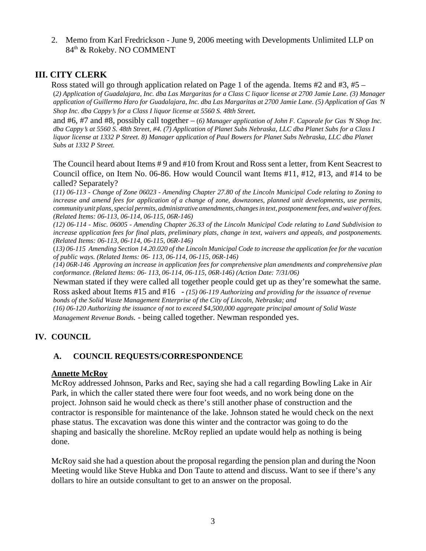2. Memo from Karl Fredrickson - June 9, 2006 meeting with Developments Unlimited LLP on 84th & Rokeby. NO COMMENT

# **III. CITY CLERK**

Ross stated will go through application related on Page 1 of the agenda. Items  $#2$  and  $#3, #5 -$ (*2) Application of Guadalajara, Inc. dba Las Margaritas for a Class C liquor license at 2700 Jamie Lane. (3) Manager application of Guillermo Haro for Guadalajara, Inc. dba Las Margaritas at 2700 Jamie Lane. (5) Application of Gas N Shop Inc. dba Cappy*=*s for a Class I liquor license at 5560 S. 48th Street.*

and  $#6, #7$  and  $#8$ , possibly call together  $- (6)$  *Manager application of John F. Caporale for Gas*  $N$  *Shop Inc. dba Cappy*=*s at 5560 S. 48th Street, #4. (7) Application of Planet Subs Nebraska, LLC dba Planet Subs for a Class I liquor license at 1332 P Street. 8) Manager application of Paul Bowers for Planet Subs Nebraska, LLC dba Planet Subs at 1332 P Street.*

The Council heard about Items # 9 and #10 from Krout and Ross sent a letter, from Kent Seacrest to Council office, on Item No. 06-86. How would Council want Items #11, #12, #13, and #14 to be called? Separately?

(*11) 06-113 - Change of Zone 06023 - Amending Chapter 27.80 of the Lincoln Municipal Code relating to Zoning to increase and amend fees for application of a change of zone, downzones, planned unit developments, use permits, community unit plans, special permits, administrative amendments, changes in text, postponement fees, and waiver of fees. (Related Items: 06-113, 06-114, 06-115, 06R-146)*

*(12) 06-114 - Misc. 06005 - Amending Chapter 26.33 of the Lincoln Municipal Code relating to Land Subdivision to increase application fees for final plats, preliminary plats, change in text, waivers and appeals, and postponements. (Related Items: 06-113, 06-114, 06-115, 06R-146)*

(*13) 06-115 Amending Section 14.20.020 of the Lincoln Municipal Code to increase the application fee for the vacation of public ways. (Related Items: 06- 113, 06-114, 06-115, 06R-146)*

*(14) 06R-146 Approving an increase in application fees for comprehensive plan amendments and comprehensive plan conformance. (Related Items: 06- 113, 06-114, 06-115, 06R-146) (Action Date: 7/31/06)*

Newman stated if they were called all together people could get up as they're somewhat the same.

Ross asked about Items #15 and #16 - *(15) 06-119 Authorizing and providing for the issuance of revenue bonds of the Solid Waste Management Enterprise of the City of Lincoln, Nebraska; and (16) 06-120 Authorizing the issuance of not to exceed \$4,500,000 aggregate principal amount of Solid Waste*

*Management Revenue Bonds.* - being called together. Newman responded yes.

## **IV. COUNCIL**

## **A. COUNCIL REQUESTS/CORRESPONDENCE**

#### **Annette McRoy**

McRoy addressed Johnson, Parks and Rec, saying she had a call regarding Bowling Lake in Air Park, in which the caller stated there were four foot weeds, and no work being done on the project. Johnson said he would check as there's still another phase of construction and the contractor is responsible for maintenance of the lake. Johnson stated he would check on the next phase status. The excavation was done this winter and the contractor was going to do the shaping and basically the shoreline. McRoy replied an update would help as nothing is being done.

McRoy said she had a question about the proposal regarding the pension plan and during the Noon Meeting would like Steve Hubka and Don Taute to attend and discuss. Want to see if there's any dollars to hire an outside consultant to get to an answer on the proposal.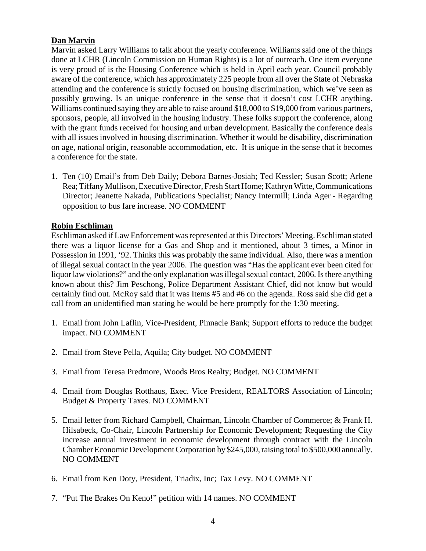## **Dan Marvin**

Marvin asked Larry Williams to talk about the yearly conference. Williams said one of the things done at LCHR (Lincoln Commission on Human Rights) is a lot of outreach. One item everyone is very proud of is the Housing Conference which is held in April each year. Council probably aware of the conference, which has approximately 225 people from all over the State of Nebraska attending and the conference is strictly focused on housing discrimination, which we've seen as possibly growing. Is an unique conference in the sense that it doesn't cost LCHR anything. Williams continued saying they are able to raise around \$18,000 to \$19,000 from various partners, sponsors, people, all involved in the housing industry. These folks support the conference, along with the grant funds received for housing and urban development. Basically the conference deals with all issues involved in housing discrimination. Whether it would be disability, discrimination on age, national origin, reasonable accommodation, etc. It is unique in the sense that it becomes a conference for the state.

1. Ten (10) Email's from Deb Daily; Debora Barnes-Josiah; Ted Kessler; Susan Scott; Arlene Rea; Tiffany Mullison, Executive Director, Fresh Start Home; Kathryn Witte, Communications Director; Jeanette Nakada, Publications Specialist; Nancy Intermill; Linda Ager - Regarding opposition to bus fare increase. NO COMMENT

### **Robin Eschliman**

Eschliman asked if Law Enforcement was represented at this Directors' Meeting. Eschliman stated there was a liquor license for a Gas and Shop and it mentioned, about 3 times, a Minor in Possession in 1991, '92. Thinks this was probably the same individual. Also, there was a mention of illegal sexual contact in the year 2006. The question was "Has the applicant ever been cited for liquor law violations?" and the only explanation was illegal sexual contact, 2006. Is there anything known about this? Jim Peschong, Police Department Assistant Chief, did not know but would certainly find out. McRoy said that it was Items #5 and #6 on the agenda. Ross said she did get a call from an unidentified man stating he would be here promptly for the 1:30 meeting.

- 1. Email from John Laflin, Vice-President, Pinnacle Bank; Support efforts to reduce the budget impact. NO COMMENT
- 2. Email from Steve Pella, Aquila; City budget. NO COMMENT
- 3. Email from Teresa Predmore, Woods Bros Realty; Budget. NO COMMENT
- 4. Email from Douglas Rotthaus, Exec. Vice President, REALTORS Association of Lincoln; Budget & Property Taxes. NO COMMENT
- 5. Email letter from Richard Campbell, Chairman, Lincoln Chamber of Commerce; & Frank H. Hilsabeck, Co-Chair, Lincoln Partnership for Economic Development; Requesting the City increase annual investment in economic development through contract with the Lincoln Chamber Economic Development Corporation by \$245,000, raising total to \$500,000 annually. NO COMMENT
- 6. Email from Ken Doty, President, Triadix, Inc; Tax Levy. NO COMMENT
- 7. "Put The Brakes On Keno!" petition with 14 names. NO COMMENT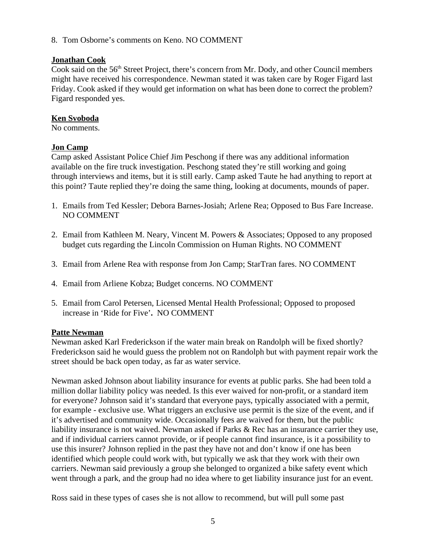8. Tom Osborne's comments on Keno. NO COMMENT

## **Jonathan Cook**

Cook said on the 56<sup>th</sup> Street Project, there's concern from Mr. Dody, and other Council members might have received his correspondence. Newman stated it was taken care by Roger Figard last Friday. Cook asked if they would get information on what has been done to correct the problem? Figard responded yes.

## **Ken Svoboda**

No comments.

## **Jon Camp**

Camp asked Assistant Police Chief Jim Peschong if there was any additional information available on the fire truck investigation. Peschong stated they're still working and going through interviews and items, but it is still early. Camp asked Taute he had anything to report at this point? Taute replied they're doing the same thing, looking at documents, mounds of paper.

- 1. Emails from Ted Kessler; Debora Barnes-Josiah; Arlene Rea; Opposed to Bus Fare Increase. NO COMMENT
- 2. Email from Kathleen M. Neary, Vincent M. Powers & Associates; Opposed to any proposed budget cuts regarding the Lincoln Commission on Human Rights. NO COMMENT
- 3. Email from Arlene Rea with response from Jon Camp; StarTran fares. NO COMMENT
- 4. Email from Arliene Kobza; Budget concerns. NO COMMENT
- 5. Email from Carol Petersen, Licensed Mental Health Professional; Opposed to proposed increase in 'Ride for Five'**.** NO COMMENT

## **Patte Newman**

Newman asked Karl Frederickson if the water main break on Randolph will be fixed shortly? Frederickson said he would guess the problem not on Randolph but with payment repair work the street should be back open today, as far as water service.

Newman asked Johnson about liability insurance for events at public parks. She had been told a million dollar liability policy was needed. Is this ever waived for non-profit, or a standard item for everyone? Johnson said it's standard that everyone pays, typically associated with a permit, for example - exclusive use. What triggers an exclusive use permit is the size of the event, and if it's advertised and community wide. Occasionally fees are waived for them, but the public liability insurance is not waived. Newman asked if Parks & Rec has an insurance carrier they use, and if individual carriers cannot provide, or if people cannot find insurance, is it a possibility to use this insurer? Johnson replied in the past they have not and don't know if one has been identified which people could work with, but typically we ask that they work with their own carriers. Newman said previously a group she belonged to organized a bike safety event which went through a park, and the group had no idea where to get liability insurance just for an event.

Ross said in these types of cases she is not allow to recommend, but will pull some past